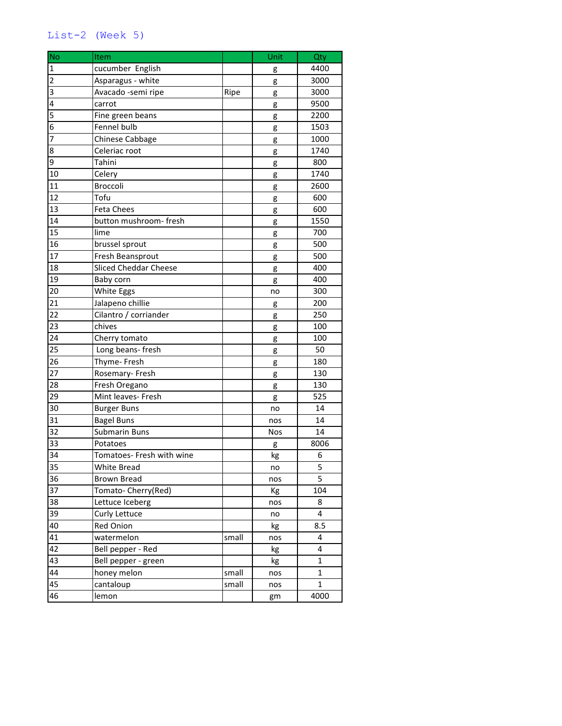## List-2 (Week 5)

| <b>No</b>               | Item                         |       | Unit | Qty          |
|-------------------------|------------------------------|-------|------|--------------|
| $\mathbf 1$             | cucumber English             |       | g    | 4400         |
| $\overline{2}$          | Asparagus - white            |       | g    | 3000         |
| $\overline{\mathbf{3}}$ | Avacado -semi ripe           | Ripe  | g    | 3000         |
| $\overline{4}$          | carrot                       |       | g    | 9500         |
| $\overline{5}$          | Fine green beans             |       | g    | 2200         |
| $\overline{6}$          | Fennel bulb                  |       | g    | 1503         |
| $\overline{7}$          | Chinese Cabbage              |       | g    | 1000         |
| $\overline{8}$          | Celeriac root                |       | g    | 1740         |
| $\overline{9}$          | Tahini                       |       | g    | 800          |
| 10                      | Celery                       |       | g    | 1740         |
| 11                      | Broccoli                     |       | g    | 2600         |
| 12                      | Tofu                         |       | g    | 600          |
| 13                      | <b>Feta Chees</b>            |       | g    | 600          |
| 14                      | button mushroom-fresh        |       | g    | 1550         |
| 15                      | lime                         |       | g    | 700          |
| 16                      | brussel sprout               |       | g    | 500          |
| 17                      | Fresh Beansprout             |       | g    | 500          |
| 18                      | <b>Sliced Cheddar Cheese</b> |       | g    | 400          |
| 19                      | Baby corn                    |       | g    | 400          |
| 20                      | White Eggs                   |       | no   | 300          |
| 21                      | Jalapeno chillie             |       | g    | 200          |
| 22                      | Cilantro / corriander        |       | g    | 250          |
| 23                      | chives                       |       | g    | 100          |
| 24                      | Cherry tomato                |       | g    | 100          |
| 25                      | Long beans-fresh             |       | g    | 50           |
| 26                      | Thyme-Fresh                  |       | g    | 180          |
| 27                      | Rosemary- Fresh              |       | g    | 130          |
| 28                      | Fresh Oregano                |       | g    | 130          |
| 29                      | Mint leaves- Fresh           |       | g    | 525          |
| 30                      | <b>Burger Buns</b>           |       | no   | 14           |
| 31                      | <b>Bagel Buns</b>            |       | nos  | 14           |
| $\overline{32}$         | <b>Submarin Buns</b>         |       | Nos  | 14           |
| 33                      | Potatoes                     |       | g    | 8006         |
| $\overline{34}$         | Tomatoes- Fresh with wine    |       | kg   | 6            |
| 35                      | White Bread                  |       | no   | 5            |
| 36                      | <b>Brown Bread</b>           |       | nos  | 5            |
| 37                      | Tomato- Cherry(Red)          |       | Кg   | 104          |
| 38                      | Lettuce Iceberg              |       | nos  | 8            |
| 39                      | Curly Lettuce                |       | no   | 4            |
| 40                      | Red Onion                    |       | kg   | 8.5          |
| 41                      | watermelon                   | small | nos  | 4            |
| 42                      | Bell pepper - Red            |       | kg   | 4            |
| 43                      | Bell pepper - green          |       | kg   | 1            |
| 44                      | honey melon                  | small | nos  | $\mathbf 1$  |
| 45                      | cantaloup                    | small | nos  | $\mathbf{1}$ |
| 46                      | lemon                        |       | gm   | 4000         |